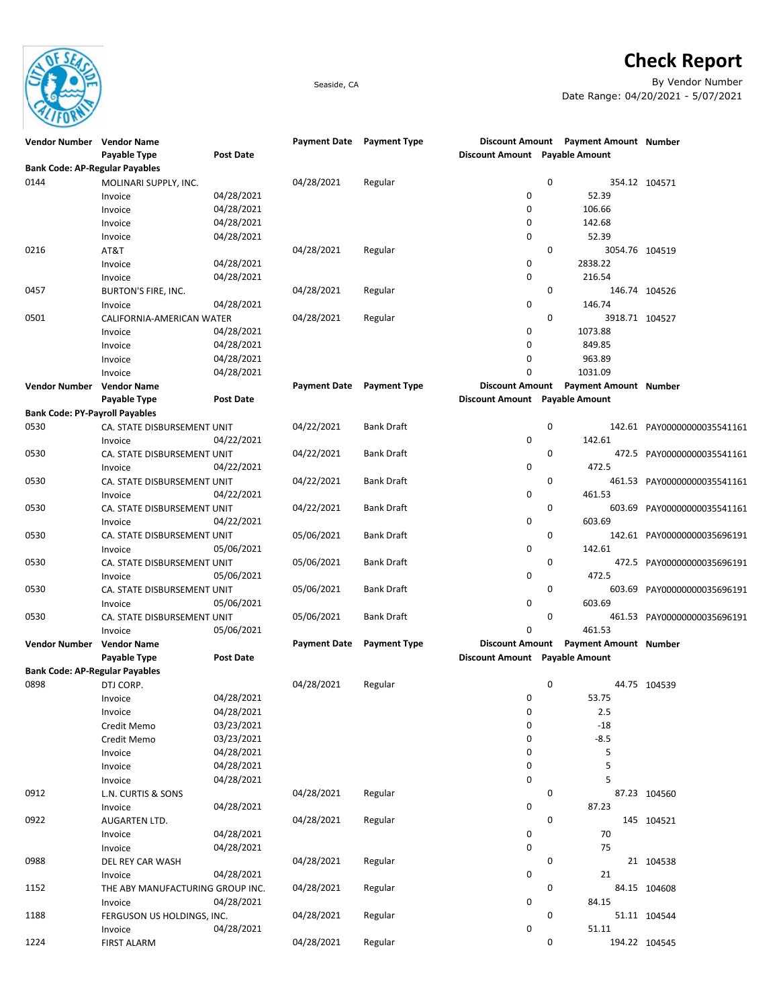

## **Check Report**

Seaside, CA By Vendor Number Date Range: 04/20/2021 - 5/07/2021

| Vendor Number Vendor Name             |                                  |                  | <b>Payment Date</b> | <b>Payment Type</b> |                                |             | Discount Amount Payment Amount Number |                             |
|---------------------------------------|----------------------------------|------------------|---------------------|---------------------|--------------------------------|-------------|---------------------------------------|-----------------------------|
|                                       | Payable Type                     | <b>Post Date</b> |                     |                     | Discount Amount Payable Amount |             |                                       |                             |
| <b>Bank Code: AP-Regular Payables</b> |                                  |                  |                     |                     |                                |             |                                       |                             |
| 0144                                  | MOLINARI SUPPLY, INC.            |                  | 04/28/2021          | Regular             |                                | 0           |                                       | 354.12 104571               |
|                                       | Invoice                          | 04/28/2021       |                     |                     | 0                              |             | 52.39                                 |                             |
|                                       | Invoice                          | 04/28/2021       |                     |                     | 0                              |             | 106.66                                |                             |
|                                       | Invoice                          | 04/28/2021       |                     |                     | 0                              |             | 142.68                                |                             |
|                                       | Invoice                          | 04/28/2021       |                     |                     | 0                              |             | 52.39                                 |                             |
| 0216                                  | AT&T                             |                  | 04/28/2021          | Regular             |                                | $\mathbf 0$ | 3054.76 104519                        |                             |
|                                       | Invoice                          | 04/28/2021       |                     |                     | 0                              |             | 2838.22                               |                             |
|                                       | Invoice                          | 04/28/2021       |                     |                     | 0                              |             | 216.54                                |                             |
| 0457                                  | <b>BURTON'S FIRE, INC.</b>       |                  | 04/28/2021          | Regular             |                                | 0           |                                       | 146.74 104526               |
|                                       | Invoice                          | 04/28/2021       |                     |                     | 0                              |             | 146.74                                |                             |
| 0501                                  | CALIFORNIA-AMERICAN WATER        |                  | 04/28/2021          | Regular             |                                | 0           | 3918.71 104527                        |                             |
|                                       | Invoice                          | 04/28/2021       |                     |                     | 0                              |             | 1073.88                               |                             |
|                                       | Invoice                          | 04/28/2021       |                     |                     | 0                              |             | 849.85                                |                             |
|                                       | Invoice                          | 04/28/2021       |                     |                     | 0                              |             | 963.89                                |                             |
|                                       | Invoice                          | 04/28/2021       |                     |                     | 0                              |             | 1031.09                               |                             |
| Vendor Number Vendor Name             |                                  |                  | <b>Payment Date</b> | <b>Payment Type</b> | <b>Discount Amount</b>         |             | <b>Payment Amount Number</b>          |                             |
|                                       | Payable Type                     | Post Date        |                     |                     | Discount Amount Payable Amount |             |                                       |                             |
| <b>Bank Code: PY-Payroll Payables</b> |                                  |                  |                     |                     |                                |             |                                       |                             |
| 0530                                  | CA. STATE DISBURSEMENT UNIT      |                  | 04/22/2021          | <b>Bank Draft</b>   |                                | 0           |                                       | 142.61 PAY00000000035541161 |
|                                       | Invoice                          | 04/22/2021       |                     |                     | 0                              |             | 142.61                                |                             |
| 0530                                  | CA. STATE DISBURSEMENT UNIT      |                  | 04/22/2021          | <b>Bank Draft</b>   |                                | 0           |                                       | 472.5 PAY00000000035541161  |
|                                       | Invoice                          | 04/22/2021       |                     |                     | 0                              |             | 472.5                                 |                             |
| 0530                                  | CA. STATE DISBURSEMENT UNIT      |                  | 04/22/2021          | <b>Bank Draft</b>   |                                | 0           |                                       | 461.53 PAY00000000035541161 |
|                                       | Invoice                          | 04/22/2021       |                     |                     | 0                              |             | 461.53                                |                             |
| 0530                                  | CA. STATE DISBURSEMENT UNIT      |                  | 04/22/2021          | <b>Bank Draft</b>   |                                | 0           |                                       | 603.69 PAY00000000035541161 |
|                                       | Invoice                          | 04/22/2021       |                     |                     | 0                              |             | 603.69                                |                             |
| 0530                                  | CA. STATE DISBURSEMENT UNIT      |                  | 05/06/2021          | <b>Bank Draft</b>   |                                | $\mathbf 0$ |                                       | 142.61 PAY00000000035696191 |
|                                       | Invoice                          | 05/06/2021       |                     |                     | 0                              |             | 142.61                                |                             |
| 0530                                  | CA. STATE DISBURSEMENT UNIT      |                  | 05/06/2021          | Bank Draft          |                                | 0           |                                       | 472.5 PAY00000000035696191  |
|                                       | Invoice                          | 05/06/2021       |                     |                     | 0                              |             | 472.5                                 |                             |
| 0530                                  | CA. STATE DISBURSEMENT UNIT      |                  | 05/06/2021          | <b>Bank Draft</b>   |                                | 0           | 603.69                                | PAY00000000035696191        |
|                                       | Invoice                          | 05/06/2021       |                     |                     | 0                              |             | 603.69                                |                             |
| 0530                                  | CA. STATE DISBURSEMENT UNIT      |                  | 05/06/2021          | Bank Draft          |                                | 0           |                                       | 461.53 PAY00000000035696191 |
|                                       | Invoice                          | 05/06/2021       |                     |                     | 0                              |             | 461.53                                |                             |
| Vendor Number Vendor Name             |                                  |                  | <b>Payment Date</b> | <b>Payment Type</b> | <b>Discount Amount</b>         |             | <b>Payment Amount Number</b>          |                             |
|                                       | Payable Type                     | Post Date        |                     |                     | Discount Amount Payable Amount |             |                                       |                             |
| <b>Bank Code: AP-Regular Payables</b> |                                  |                  |                     |                     |                                |             |                                       |                             |
| 0898                                  | DTJ CORP.                        |                  | 04/28/2021          | Regular             |                                | 0           |                                       | 44.75 104539                |
|                                       | Invoice                          | 04/28/2021       |                     |                     | 0                              |             | 53.75                                 |                             |
|                                       | Invoice                          | 04/28/2021       |                     |                     | 0                              |             | 2.5                                   |                             |
|                                       | Credit Memo                      | 03/23/2021       |                     |                     | 0                              |             | $-18$                                 |                             |
|                                       | Credit Memo                      | 03/23/2021       |                     |                     | 0                              |             | $-8.5$                                |                             |
|                                       | Invoice                          | 04/28/2021       |                     |                     | 0                              |             | 5                                     |                             |
|                                       | Invoice                          | 04/28/2021       |                     |                     | 0                              |             | 5                                     |                             |
|                                       | Invoice                          | 04/28/2021       |                     |                     | 0                              |             | 5                                     |                             |
| 0912                                  | L.N. CURTIS & SONS               |                  | 04/28/2021          | Regular             |                                | 0           |                                       | 87.23 104560                |
|                                       | Invoice                          | 04/28/2021       |                     |                     | 0                              |             | 87.23                                 |                             |
| 0922                                  | AUGARTEN LTD.                    |                  | 04/28/2021          | Regular             |                                | 0           |                                       | 145 104521                  |
|                                       | Invoice                          | 04/28/2021       |                     |                     | 0                              |             | 70                                    |                             |
|                                       | Invoice                          | 04/28/2021       |                     |                     | 0                              |             | 75                                    |                             |
| 0988                                  | DEL REY CAR WASH                 |                  | 04/28/2021          | Regular             |                                | 0           |                                       | 21 104538                   |
|                                       | Invoice                          | 04/28/2021       |                     |                     | 0                              |             | 21                                    |                             |
| 1152                                  | THE ABY MANUFACTURING GROUP INC. |                  | 04/28/2021          | Regular             |                                | 0           |                                       | 84.15 104608                |
|                                       | Invoice                          | 04/28/2021       |                     |                     | 0                              |             | 84.15                                 |                             |
| 1188                                  | FERGUSON US HOLDINGS, INC.       |                  | 04/28/2021          | Regular             |                                | 0           |                                       | 51.11 104544                |
|                                       | Invoice                          | 04/28/2021       |                     |                     | 0                              |             | 51.11                                 |                             |
| 1224                                  | <b>FIRST ALARM</b>               |                  | 04/28/2021          | Regular             |                                | 0           |                                       | 194.22 104545               |
|                                       |                                  |                  |                     |                     |                                |             |                                       |                             |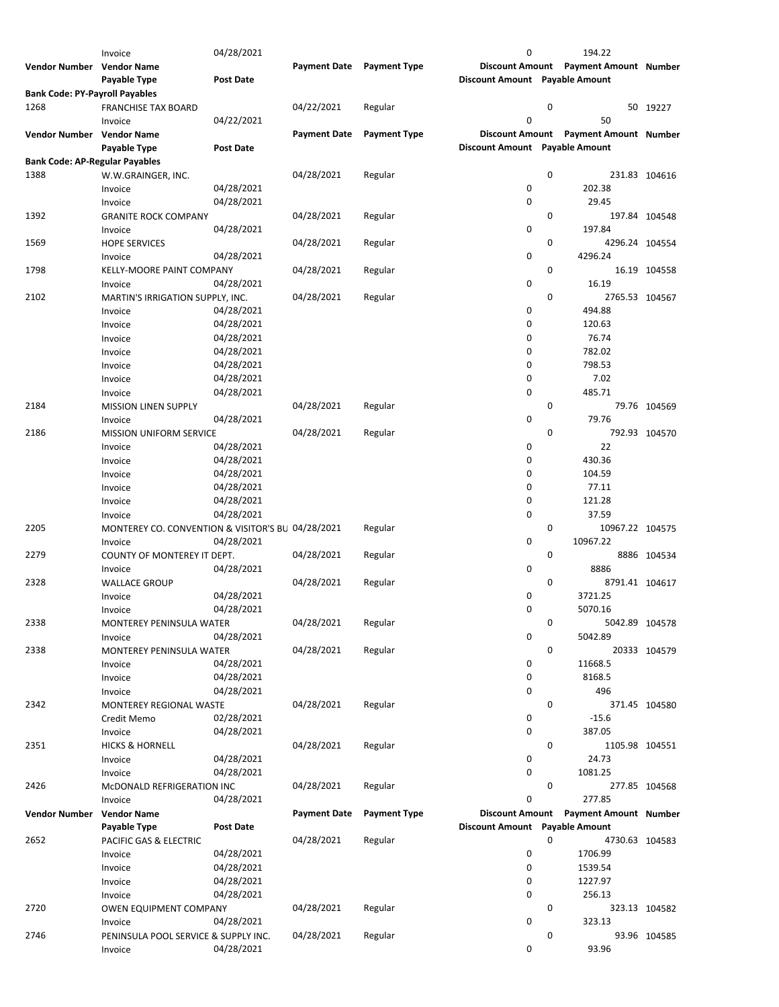|                                       | Invoice                                           | 04/28/2021       |                     |                     | 0                              |   | 194.22                                |               |
|---------------------------------------|---------------------------------------------------|------------------|---------------------|---------------------|--------------------------------|---|---------------------------------------|---------------|
| Vendor Number Vendor Name             |                                                   |                  | <b>Payment Date</b> | <b>Payment Type</b> |                                |   | Discount Amount Payment Amount Number |               |
|                                       | Payable Type                                      | <b>Post Date</b> |                     |                     | Discount Amount Payable Amount |   |                                       |               |
| <b>Bank Code: PY-Payroll Payables</b> |                                                   |                  |                     |                     |                                |   |                                       |               |
|                                       |                                                   |                  |                     |                     |                                |   |                                       |               |
| 1268                                  | <b>FRANCHISE TAX BOARD</b>                        |                  | 04/22/2021          | Regular             |                                | 0 |                                       | 50 19227      |
|                                       | Invoice                                           | 04/22/2021       |                     |                     | 0                              |   | 50                                    |               |
| <b>Vendor Number</b>                  | <b>Vendor Name</b>                                |                  | <b>Payment Date</b> | <b>Payment Type</b> | <b>Discount Amount</b>         |   | <b>Payment Amount Number</b>          |               |
|                                       | Payable Type                                      | <b>Post Date</b> |                     |                     | Discount Amount Payable Amount |   |                                       |               |
| <b>Bank Code: AP-Regular Payables</b> |                                                   |                  |                     |                     |                                |   |                                       |               |
| 1388                                  |                                                   |                  | 04/28/2021          |                     |                                | 0 |                                       | 231.83 104616 |
|                                       | W.W.GRAINGER, INC.                                |                  |                     | Regular             |                                |   |                                       |               |
|                                       | Invoice                                           | 04/28/2021       |                     |                     | 0                              |   | 202.38                                |               |
|                                       | Invoice                                           | 04/28/2021       |                     |                     | 0                              |   | 29.45                                 |               |
| 1392                                  | <b>GRANITE ROCK COMPANY</b>                       |                  | 04/28/2021          | Regular             |                                | 0 |                                       | 197.84 104548 |
|                                       | Invoice                                           | 04/28/2021       |                     |                     | $\mathbf 0$                    |   | 197.84                                |               |
| 1569                                  | <b>HOPE SERVICES</b>                              |                  | 04/28/2021          | Regular             |                                | 0 | 4296.24 104554                        |               |
|                                       |                                                   |                  |                     |                     | 0                              |   | 4296.24                               |               |
|                                       | Invoice                                           | 04/28/2021       |                     |                     |                                |   |                                       |               |
| 1798                                  | KELLY-MOORE PAINT COMPANY                         |                  | 04/28/2021          | Regular             |                                | 0 |                                       | 16.19 104558  |
|                                       | Invoice                                           | 04/28/2021       |                     |                     | $\mathbf 0$                    |   | 16.19                                 |               |
| 2102                                  | MARTIN'S IRRIGATION SUPPLY, INC.                  |                  | 04/28/2021          | Regular             |                                | 0 | 2765.53 104567                        |               |
|                                       | Invoice                                           | 04/28/2021       |                     |                     | 0                              |   | 494.88                                |               |
|                                       | Invoice                                           | 04/28/2021       |                     |                     | $\mathbf 0$                    |   | 120.63                                |               |
|                                       |                                                   |                  |                     |                     |                                |   |                                       |               |
|                                       | Invoice                                           | 04/28/2021       |                     |                     | 0                              |   | 76.74                                 |               |
|                                       | Invoice                                           | 04/28/2021       |                     |                     | 0                              |   | 782.02                                |               |
|                                       | Invoice                                           | 04/28/2021       |                     |                     | 0                              |   | 798.53                                |               |
|                                       | Invoice                                           | 04/28/2021       |                     |                     | 0                              |   | 7.02                                  |               |
|                                       |                                                   | 04/28/2021       |                     |                     | 0                              |   | 485.71                                |               |
|                                       | Invoice                                           |                  |                     |                     |                                |   |                                       |               |
| 2184                                  | <b>MISSION LINEN SUPPLY</b>                       |                  | 04/28/2021          | Regular             |                                | 0 |                                       | 79.76 104569  |
|                                       | Invoice                                           | 04/28/2021       |                     |                     | $\mathbf 0$                    |   | 79.76                                 |               |
| 2186                                  | <b>MISSION UNIFORM SERVICE</b>                    |                  | 04/28/2021          | Regular             |                                | 0 |                                       | 792.93 104570 |
|                                       | Invoice                                           | 04/28/2021       |                     |                     | 0                              |   | 22                                    |               |
|                                       | Invoice                                           | 04/28/2021       |                     |                     | 0                              |   | 430.36                                |               |
|                                       |                                                   | 04/28/2021       |                     |                     | 0                              |   | 104.59                                |               |
|                                       | Invoice                                           |                  |                     |                     |                                |   |                                       |               |
|                                       | Invoice                                           | 04/28/2021       |                     |                     | 0                              |   | 77.11                                 |               |
|                                       | Invoice                                           | 04/28/2021       |                     |                     | 0                              |   | 121.28                                |               |
|                                       | Invoice                                           | 04/28/2021       |                     |                     | $\mathbf 0$                    |   | 37.59                                 |               |
| 2205                                  | MONTEREY CO. CONVENTION & VISITOR'S BU 04/28/2021 |                  |                     | Regular             |                                | 0 | 10967.22 104575                       |               |
|                                       |                                                   | 04/28/2021       |                     |                     | $\mathbf 0$                    |   | 10967.22                              |               |
|                                       | Invoice                                           |                  |                     |                     |                                |   |                                       |               |
| 2279                                  | COUNTY OF MONTEREY IT DEPT.                       |                  | 04/28/2021          | Regular             |                                | 0 |                                       | 8886 104534   |
|                                       | Invoice                                           | 04/28/2021       |                     |                     | 0                              |   | 8886                                  |               |
| 2328                                  | <b>WALLACE GROUP</b>                              |                  | 04/28/2021          | Regular             |                                | 0 | 8791.41 104617                        |               |
|                                       | Invoice                                           | 04/28/2021       |                     |                     | 0                              |   | 3721.25                               |               |
|                                       | Invoice                                           | 04/28/2021       |                     |                     | 0                              |   | 5070.16                               |               |
|                                       |                                                   |                  |                     |                     |                                | 0 |                                       |               |
| 2338                                  | MONTEREY PENINSULA WATER                          |                  | 04/28/2021          | Regular             |                                |   | 5042.89 104578                        |               |
|                                       | Invoice                                           | 04/28/2021       |                     |                     | 0                              |   | 5042.89                               |               |
| 2338                                  | MONTEREY PENINSULA WATER                          |                  | 04/28/2021          | Regular             |                                | 0 |                                       | 20333 104579  |
|                                       | Invoice                                           | 04/28/2021       |                     |                     | 0                              |   | 11668.5                               |               |
|                                       | Invoice                                           | 04/28/2021       |                     |                     | 0                              |   | 8168.5                                |               |
|                                       | Invoice                                           | 04/28/2021       |                     |                     | 0                              |   | 496                                   |               |
|                                       |                                                   |                  |                     |                     |                                |   |                                       |               |
| 2342                                  | MONTEREY REGIONAL WASTE                           |                  | 04/28/2021          | Regular             |                                | 0 |                                       | 371.45 104580 |
|                                       | Credit Memo                                       | 02/28/2021       |                     |                     | 0                              |   | $-15.6$                               |               |
|                                       | Invoice                                           | 04/28/2021       |                     |                     | $\pmb{0}$                      |   | 387.05                                |               |
| 2351                                  | <b>HICKS &amp; HORNELL</b>                        |                  | 04/28/2021          | Regular             |                                | 0 | 1105.98 104551                        |               |
|                                       | Invoice                                           | 04/28/2021       |                     |                     | 0                              |   | 24.73                                 |               |
|                                       |                                                   | 04/28/2021       |                     |                     | $\mathbf 0$                    |   | 1081.25                               |               |
|                                       | Invoice                                           |                  |                     |                     |                                |   |                                       |               |
| 2426                                  | MCDONALD REFRIGERATION INC                        |                  | 04/28/2021          | Regular             |                                | 0 |                                       | 277.85 104568 |
|                                       | Invoice                                           | 04/28/2021       |                     |                     | 0                              |   | 277.85                                |               |
| <b>Vendor Number</b>                  | <b>Vendor Name</b>                                |                  | <b>Payment Date</b> | <b>Payment Type</b> | <b>Discount Amount</b>         |   | <b>Payment Amount Number</b>          |               |
|                                       | Payable Type                                      | <b>Post Date</b> |                     |                     | Discount Amount Payable Amount |   |                                       |               |
| 2652                                  | PACIFIC GAS & ELECTRIC                            |                  | 04/28/2021          | Regular             |                                | 0 | 4730.63 104583                        |               |
|                                       |                                                   |                  |                     |                     |                                |   |                                       |               |
|                                       | Invoice                                           | 04/28/2021       |                     |                     | 0                              |   | 1706.99                               |               |
|                                       | Invoice                                           | 04/28/2021       |                     |                     | $\mathbf 0$                    |   | 1539.54                               |               |
|                                       | Invoice                                           | 04/28/2021       |                     |                     | 0                              |   | 1227.97                               |               |
|                                       | Invoice                                           | 04/28/2021       |                     |                     | $\mathbf 0$                    |   | 256.13                                |               |
| 2720                                  | <b>OWEN EQUIPMENT COMPANY</b>                     |                  | 04/28/2021          | Regular             |                                | 0 |                                       | 323.13 104582 |
|                                       | Invoice                                           | 04/28/2021       |                     |                     | 0                              |   | 323.13                                |               |
|                                       |                                                   |                  |                     |                     |                                |   |                                       |               |
| 2746                                  | PENINSULA POOL SERVICE & SUPPLY INC.              |                  | 04/28/2021          | Regular             | 0                              | 0 | 93.96                                 | 93.96 104585  |
|                                       | Invoice                                           | 04/28/2021       |                     |                     |                                |   |                                       |               |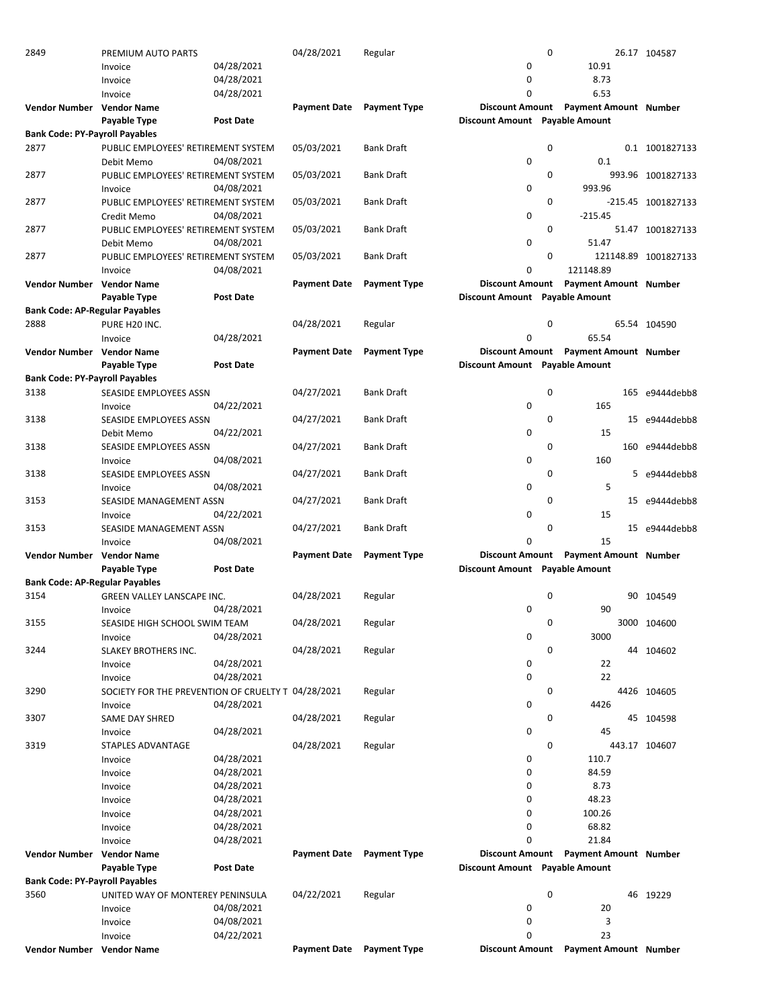| 2849                                  | PREMIUM AUTO PARTS                                 |                  | 04/28/2021          | Regular             |                                | $\mathbf 0$ |                                       | 26.17 104587         |
|---------------------------------------|----------------------------------------------------|------------------|---------------------|---------------------|--------------------------------|-------------|---------------------------------------|----------------------|
|                                       | Invoice                                            | 04/28/2021       |                     |                     | 0                              |             | 10.91                                 |                      |
|                                       | Invoice                                            | 04/28/2021       |                     |                     | 0                              |             | 8.73                                  |                      |
|                                       | Invoice                                            | 04/28/2021       |                     |                     | 0                              |             | 6.53                                  |                      |
| <b>Vendor Number</b>                  | <b>Vendor Name</b>                                 |                  | <b>Payment Date</b> | <b>Payment Type</b> |                                |             | Discount Amount Payment Amount Number |                      |
|                                       | Payable Type                                       | Post Date        |                     |                     | Discount Amount Payable Amount |             |                                       |                      |
| <b>Bank Code: PY-Payroll Payables</b> |                                                    |                  |                     |                     |                                |             |                                       |                      |
| 2877                                  | PUBLIC EMPLOYEES' RETIREMENT SYSTEM                |                  | 05/03/2021          | <b>Bank Draft</b>   |                                | 0           |                                       | 0.1 1001827133       |
|                                       | Debit Memo                                         | 04/08/2021       |                     |                     | 0                              |             | 0.1                                   |                      |
| 2877                                  | PUBLIC EMPLOYEES' RETIREMENT SYSTEM                |                  | 05/03/2021          | <b>Bank Draft</b>   |                                | $\mathbf 0$ |                                       | 993.96 1001827133    |
|                                       |                                                    |                  |                     |                     |                                |             |                                       |                      |
|                                       | Invoice                                            | 04/08/2021       |                     |                     | 0                              |             | 993.96                                |                      |
| 2877                                  | PUBLIC EMPLOYEES' RETIREMENT SYSTEM                |                  | 05/03/2021          | <b>Bank Draft</b>   |                                | $\mathbf 0$ |                                       | -215.45 1001827133   |
|                                       | Credit Memo                                        | 04/08/2021       |                     |                     | 0                              |             | $-215.45$                             |                      |
| 2877                                  | PUBLIC EMPLOYEES' RETIREMENT SYSTEM                |                  | 05/03/2021          | <b>Bank Draft</b>   |                                | 0           |                                       | 51.47 1001827133     |
|                                       | Debit Memo                                         | 04/08/2021       |                     |                     | 0                              |             | 51.47                                 |                      |
| 2877                                  | PUBLIC EMPLOYEES' RETIREMENT SYSTEM                |                  | 05/03/2021          | <b>Bank Draft</b>   |                                | $\mathbf 0$ |                                       | 121148.89 1001827133 |
|                                       | Invoice                                            | 04/08/2021       |                     |                     | 0                              |             | 121148.89                             |                      |
| Vendor Number Vendor Name             |                                                    |                  | <b>Payment Date</b> | <b>Payment Type</b> | <b>Discount Amount</b>         |             | <b>Payment Amount Number</b>          |                      |
|                                       | Payable Type                                       | <b>Post Date</b> |                     |                     | Discount Amount Payable Amount |             |                                       |                      |
| <b>Bank Code: AP-Regular Payables</b> |                                                    |                  |                     |                     |                                |             |                                       |                      |
| 2888                                  | PURE H20 INC.                                      |                  | 04/28/2021          | Regular             |                                | $\mathbf 0$ |                                       | 65.54 104590         |
|                                       | Invoice                                            | 04/28/2021       |                     |                     | 0                              |             | 65.54                                 |                      |
| Vendor Number                         | <b>Vendor Name</b>                                 |                  | <b>Payment Date</b> | <b>Payment Type</b> |                                |             | Discount Amount Payment Amount Number |                      |
|                                       | Payable Type                                       | Post Date        |                     |                     | Discount Amount Payable Amount |             |                                       |                      |
| <b>Bank Code: PY-Payroll Payables</b> |                                                    |                  |                     |                     |                                |             |                                       |                      |
| 3138                                  | SEASIDE EMPLOYEES ASSN                             |                  | 04/27/2021          | <b>Bank Draft</b>   |                                | 0           |                                       | 165 e9444debb8       |
|                                       |                                                    | 04/22/2021       |                     |                     |                                |             | 165                                   |                      |
|                                       | Invoice                                            |                  |                     |                     | 0                              |             |                                       |                      |
| 3138                                  | SEASIDE EMPLOYEES ASSN                             |                  | 04/27/2021          | <b>Bank Draft</b>   |                                | $\mathbf 0$ |                                       | 15 e9444debb8        |
|                                       | Debit Memo                                         | 04/22/2021       |                     |                     | 0                              |             | 15                                    |                      |
| 3138                                  | SEASIDE EMPLOYEES ASSN                             |                  | 04/27/2021          | <b>Bank Draft</b>   |                                | $\mathbf 0$ |                                       | 160 e9444debb8       |
|                                       | Invoice                                            | 04/08/2021       |                     |                     | 0                              |             | 160                                   |                      |
| 3138                                  | SEASIDE EMPLOYEES ASSN                             |                  | 04/27/2021          | <b>Bank Draft</b>   |                                | 0           | 5                                     | e9444debb8           |
|                                       | Invoice                                            | 04/08/2021       |                     |                     | 0                              |             | 5                                     |                      |
| 3153                                  | SEASIDE MANAGEMENT ASSN                            |                  | 04/27/2021          | <b>Bank Draft</b>   |                                | $\mathbf 0$ | 15                                    | e9444debb8           |
|                                       | Invoice                                            | 04/22/2021       |                     |                     | 0                              |             | 15                                    |                      |
| 3153                                  | SEASIDE MANAGEMENT ASSN                            |                  | 04/27/2021          | <b>Bank Draft</b>   |                                | 0           |                                       | 15 e9444debb8        |
|                                       | Invoice                                            | 04/08/2021       |                     |                     | $\Omega$                       |             | 15                                    |                      |
| Vendor Number Vendor Name             |                                                    |                  | <b>Payment Date</b> | <b>Payment Type</b> |                                |             | Discount Amount Payment Amount Number |                      |
|                                       | Payable Type                                       | <b>Post Date</b> |                     |                     | Discount Amount Payable Amount |             |                                       |                      |
| <b>Bank Code: AP-Regular Payables</b> |                                                    |                  |                     |                     |                                |             |                                       |                      |
| 3154                                  | GREEN VALLEY LANSCAPE INC.                         |                  | 04/28/2021          | Regular             |                                | 0           |                                       | 90 104549            |
|                                       | Invoice                                            | 04/28/2021       |                     |                     | 0                              |             | 90                                    |                      |
|                                       |                                                    |                  |                     |                     |                                |             |                                       |                      |
| 3155                                  | SEASIDE HIGH SCHOOL SWIM TEAM                      |                  | 04/28/2021          | Regular             |                                | 0           |                                       | 3000 104600          |
|                                       | Invoice                                            | 04/28/2021       |                     |                     | 0                              |             | 3000                                  |                      |
| 3244                                  | SLAKEY BROTHERS INC.                               |                  | 04/28/2021          | Regular             |                                | 0           |                                       | 44 104602            |
|                                       | Invoice                                            | 04/28/2021       |                     |                     | 0                              |             | 22                                    |                      |
|                                       | Invoice                                            | 04/28/2021       |                     |                     | 0                              |             | 22                                    |                      |
| 3290                                  | SOCIETY FOR THE PREVENTION OF CRUELTY T 04/28/2021 |                  |                     | Regular             |                                | 0           |                                       | 4426 104605          |
|                                       | Invoice                                            | 04/28/2021       |                     |                     | 0                              |             | 4426                                  |                      |
| 3307                                  | <b>SAME DAY SHRED</b>                              |                  | 04/28/2021          | Regular             |                                | 0           |                                       | 45 104598            |
|                                       | Invoice                                            | 04/28/2021       |                     |                     | 0                              |             | 45                                    |                      |
| 3319                                  | <b>STAPLES ADVANTAGE</b>                           |                  | 04/28/2021          | Regular             |                                | $\mathbf 0$ |                                       | 443.17 104607        |
|                                       | Invoice                                            | 04/28/2021       |                     |                     | 0                              |             | 110.7                                 |                      |
|                                       | Invoice                                            | 04/28/2021       |                     |                     | 0                              |             | 84.59                                 |                      |
|                                       | Invoice                                            | 04/28/2021       |                     |                     | 0                              |             | 8.73                                  |                      |
|                                       | Invoice                                            | 04/28/2021       |                     |                     | 0                              |             | 48.23                                 |                      |
|                                       | Invoice                                            | 04/28/2021       |                     |                     | 0                              |             | 100.26                                |                      |
|                                       |                                                    | 04/28/2021       |                     |                     | 0                              |             | 68.82                                 |                      |
|                                       | Invoice                                            |                  |                     |                     | 0                              |             | 21.84                                 |                      |
|                                       |                                                    |                  |                     |                     |                                |             |                                       |                      |
|                                       | Invoice                                            | 04/28/2021       |                     |                     |                                |             |                                       |                      |
| Vendor Number Vendor Name             |                                                    |                  | <b>Payment Date</b> | <b>Payment Type</b> |                                |             | Discount Amount Payment Amount Number |                      |
|                                       | Payable Type                                       | Post Date        |                     |                     | Discount Amount Payable Amount |             |                                       |                      |
| <b>Bank Code: PY-Payroll Payables</b> |                                                    |                  |                     |                     |                                |             |                                       |                      |
| 3560                                  | UNITED WAY OF MONTEREY PENINSULA                   |                  | 04/22/2021          | Regular             |                                | 0           |                                       | 46 19229             |
|                                       | Invoice                                            | 04/08/2021       |                     |                     | 0                              |             | 20                                    |                      |
|                                       | Invoice                                            | 04/08/2021       |                     |                     | 0                              |             | 3                                     |                      |
| Vendor Number Vendor Name             | Invoice                                            | 04/22/2021       | <b>Payment Date</b> | <b>Payment Type</b> | 0<br><b>Discount Amount</b>    |             | 23<br><b>Payment Amount Number</b>    |                      |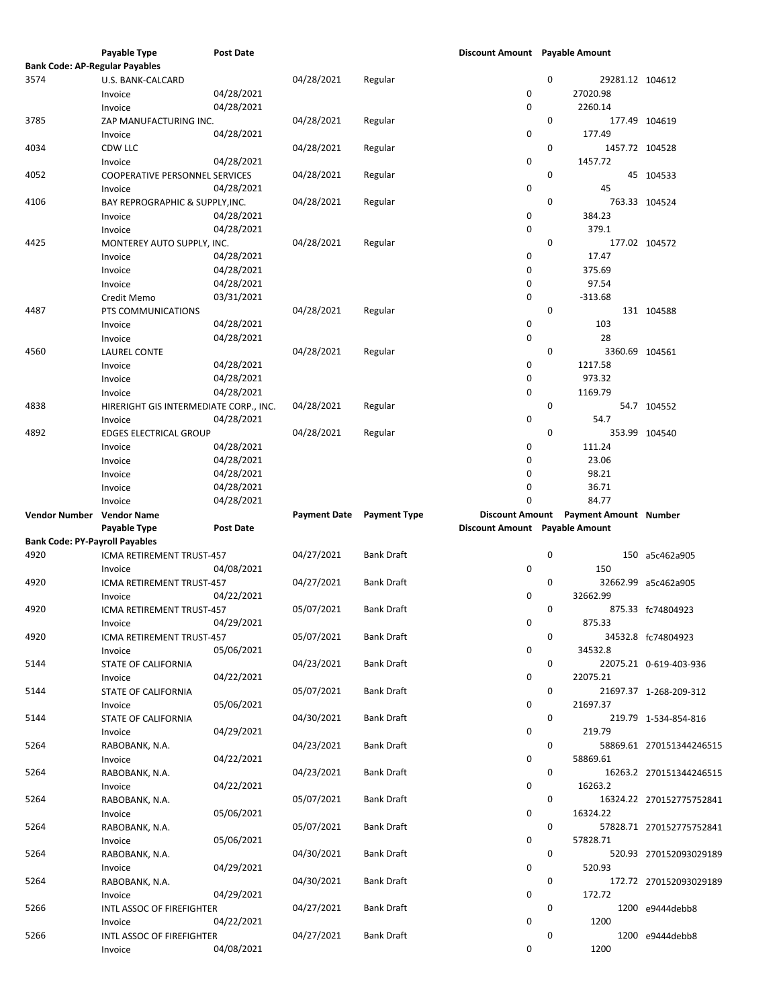|                                       | Payable Type                           | <b>Post Date</b> |                     |                     | Discount Amount Payable Amount |   |                              |                          |
|---------------------------------------|----------------------------------------|------------------|---------------------|---------------------|--------------------------------|---|------------------------------|--------------------------|
| <b>Bank Code: AP-Regular Payables</b> |                                        |                  |                     |                     |                                |   |                              |                          |
| 3574                                  | U.S. BANK-CALCARD                      |                  | 04/28/2021          | Regular             |                                | 0 | 29281.12 104612              |                          |
|                                       | Invoice                                | 04/28/2021       |                     |                     | 0                              |   | 27020.98                     |                          |
|                                       | Invoice                                | 04/28/2021       |                     |                     | $\pmb{0}$                      |   | 2260.14                      |                          |
| 3785                                  | ZAP MANUFACTURING INC.                 |                  | 04/28/2021          | Regular             |                                | 0 | 177.49 104619                |                          |
|                                       |                                        | 04/28/2021       |                     |                     | 0                              |   | 177.49                       |                          |
|                                       | Invoice                                |                  |                     |                     |                                |   |                              |                          |
| 4034                                  | CDW LLC                                |                  | 04/28/2021          | Regular             |                                | 0 | 1457.72 104528               |                          |
|                                       | Invoice                                | 04/28/2021       |                     |                     | 0                              |   | 1457.72                      |                          |
| 4052                                  | <b>COOPERATIVE PERSONNEL SERVICES</b>  |                  | 04/28/2021          | Regular             |                                | 0 |                              | 45 104533                |
|                                       | Invoice                                | 04/28/2021       |                     |                     | 0                              |   | 45                           |                          |
| 4106                                  | BAY REPROGRAPHIC & SUPPLY, INC.        |                  | 04/28/2021          | Regular             |                                | 0 | 763.33 104524                |                          |
|                                       | Invoice                                | 04/28/2021       |                     |                     | 0                              |   | 384.23                       |                          |
|                                       | Invoice                                | 04/28/2021       |                     |                     | $\pmb{0}$                      |   | 379.1                        |                          |
| 4425                                  | MONTEREY AUTO SUPPLY, INC.             |                  | 04/28/2021          | Regular             |                                | 0 |                              | 177.02 104572            |
|                                       |                                        | 04/28/2021       |                     |                     | 0                              |   | 17.47                        |                          |
|                                       | Invoice                                |                  |                     |                     |                                |   |                              |                          |
|                                       | Invoice                                | 04/28/2021       |                     |                     | 0                              |   | 375.69                       |                          |
|                                       | Invoice                                | 04/28/2021       |                     |                     | 0                              |   | 97.54                        |                          |
|                                       | Credit Memo                            | 03/31/2021       |                     |                     | 0                              |   | $-313.68$                    |                          |
| 4487                                  | PTS COMMUNICATIONS                     |                  | 04/28/2021          | Regular             |                                | 0 |                              | 131 104588               |
|                                       | Invoice                                | 04/28/2021       |                     |                     | $\pmb{0}$                      |   | 103                          |                          |
|                                       | Invoice                                | 04/28/2021       |                     |                     | 0                              |   | 28                           |                          |
| 4560                                  | <b>LAUREL CONTE</b>                    |                  | 04/28/2021          | Regular             |                                | 0 | 3360.69 104561               |                          |
|                                       |                                        |                  |                     |                     |                                |   |                              |                          |
|                                       | Invoice                                | 04/28/2021       |                     |                     | 0                              |   | 1217.58                      |                          |
|                                       | Invoice                                | 04/28/2021       |                     |                     | 0                              |   | 973.32                       |                          |
|                                       | Invoice                                | 04/28/2021       |                     |                     | 0                              |   | 1169.79                      |                          |
| 4838                                  | HIRERIGHT GIS INTERMEDIATE CORP., INC. |                  | 04/28/2021          | Regular             |                                | 0 |                              | 54.7 104552              |
|                                       | Invoice                                | 04/28/2021       |                     |                     | 0                              |   | 54.7                         |                          |
| 4892                                  | <b>EDGES ELECTRICAL GROUP</b>          |                  | 04/28/2021          | Regular             |                                | 0 | 353.99 104540                |                          |
|                                       | Invoice                                | 04/28/2021       |                     |                     | $\pmb{0}$                      |   | 111.24                       |                          |
|                                       | Invoice                                | 04/28/2021       |                     |                     | 0                              |   | 23.06                        |                          |
|                                       |                                        |                  |                     |                     |                                |   |                              |                          |
|                                       | Invoice                                | 04/28/2021       |                     |                     | $\pmb{0}$                      |   | 98.21                        |                          |
|                                       | Invoice                                | 04/28/2021       |                     |                     | 0                              |   | 36.71                        |                          |
|                                       | Invoice                                | 04/28/2021       |                     |                     | $\Omega$                       |   | 84.77                        |                          |
|                                       |                                        |                  |                     |                     |                                |   |                              |                          |
| Vendor Number Vendor Name             |                                        |                  | <b>Payment Date</b> | <b>Payment Type</b> | <b>Discount Amount</b>         |   | <b>Payment Amount Number</b> |                          |
|                                       |                                        | <b>Post Date</b> |                     |                     |                                |   |                              |                          |
|                                       | Payable Type                           |                  |                     |                     | Discount Amount Payable Amount |   |                              |                          |
| <b>Bank Code: PY-Payroll Payables</b> |                                        |                  |                     |                     |                                |   |                              |                          |
| 4920                                  | ICMA RETIREMENT TRUST-457              |                  | 04/27/2021          | <b>Bank Draft</b>   |                                | 0 |                              | 150 a5c462a905           |
|                                       | Invoice                                | 04/08/2021       |                     |                     | 0                              |   | 150                          |                          |
| 4920                                  | ICMA RETIREMENT TRUST-457              |                  | 04/27/2021          | <b>Bank Draft</b>   |                                | 0 |                              | 32662.99 a5c462a905      |
|                                       | Invoice                                | 04/22/2021       |                     |                     | 0                              |   | 32662.99                     |                          |
| 4920                                  | ICMA RETIREMENT TRUST-457              |                  | 05/07/2021          | <b>Bank Draft</b>   |                                | 0 |                              | 875.33 fc74804923        |
|                                       | Invoice                                | 04/29/2021       |                     |                     | 0                              |   | 875.33                       |                          |
| 4920                                  |                                        |                  |                     |                     |                                | 0 |                              |                          |
|                                       | ICMA RETIREMENT TRUST-457              |                  | 05/07/2021          | <b>Bank Draft</b>   |                                |   |                              | 34532.8 fc74804923       |
|                                       | Invoice                                | 05/06/2021       |                     |                     | 0                              |   | 34532.8                      |                          |
| 5144                                  | STATE OF CALIFORNIA                    |                  | 04/23/2021          | <b>Bank Draft</b>   |                                | 0 |                              | 22075.21 0-619-403-936   |
|                                       | Invoice                                | 04/22/2021       |                     |                     | 0                              |   | 22075.21                     |                          |
| 5144                                  | STATE OF CALIFORNIA                    |                  | 05/07/2021          | <b>Bank Draft</b>   |                                | 0 |                              | 21697.37 1-268-209-312   |
|                                       | Invoice                                | 05/06/2021       |                     |                     | 0                              |   | 21697.37                     |                          |
| 5144                                  | STATE OF CALIFORNIA                    |                  | 04/30/2021          | <b>Bank Draft</b>   |                                | 0 |                              | 219.79 1-534-854-816     |
|                                       | Invoice                                | 04/29/2021       |                     |                     | 0                              |   | 219.79                       |                          |
|                                       |                                        |                  |                     |                     |                                |   |                              |                          |
| 5264                                  | RABOBANK, N.A.                         |                  | 04/23/2021          | <b>Bank Draft</b>   |                                | 0 |                              | 58869.61 270151344246515 |
|                                       | Invoice                                | 04/22/2021       |                     |                     | 0                              |   | 58869.61                     |                          |
| 5264                                  | RABOBANK, N.A.                         |                  | 04/23/2021          | <b>Bank Draft</b>   |                                | 0 |                              | 16263.2 270151344246515  |
|                                       | Invoice                                | 04/22/2021       |                     |                     | 0                              |   | 16263.2                      |                          |
| 5264                                  | RABOBANK, N.A.                         |                  | 05/07/2021          | <b>Bank Draft</b>   |                                | 0 |                              | 16324.22 270152775752841 |
|                                       | Invoice                                | 05/06/2021       |                     |                     | 0                              |   | 16324.22                     |                          |
| 5264                                  | RABOBANK, N.A.                         |                  | 05/07/2021          | <b>Bank Draft</b>   |                                | 0 |                              | 57828.71 270152775752841 |
|                                       | Invoice                                | 05/06/2021       |                     |                     | 0                              |   | 57828.71                     |                          |
|                                       |                                        |                  |                     |                     |                                |   |                              |                          |
| 5264                                  | RABOBANK, N.A.                         |                  | 04/30/2021          | <b>Bank Draft</b>   |                                | 0 |                              | 520.93 270152093029189   |
|                                       | Invoice                                | 04/29/2021       |                     |                     | 0                              |   | 520.93                       |                          |
| 5264                                  | RABOBANK, N.A.                         |                  | 04/30/2021          | <b>Bank Draft</b>   |                                | 0 |                              | 172.72 270152093029189   |
|                                       | Invoice                                | 04/29/2021       |                     |                     | 0                              |   | 172.72                       |                          |
| 5266                                  | INTL ASSOC OF FIREFIGHTER              |                  | 04/27/2021          | <b>Bank Draft</b>   |                                | 0 |                              | 1200 e9444debb8          |
|                                       | Invoice                                | 04/22/2021       |                     |                     | 0                              |   | 1200                         |                          |
| 5266                                  | INTL ASSOC OF FIREFIGHTER              | 04/08/2021       | 04/27/2021          | <b>Bank Draft</b>   |                                | 0 |                              | 1200 e9444debb8          |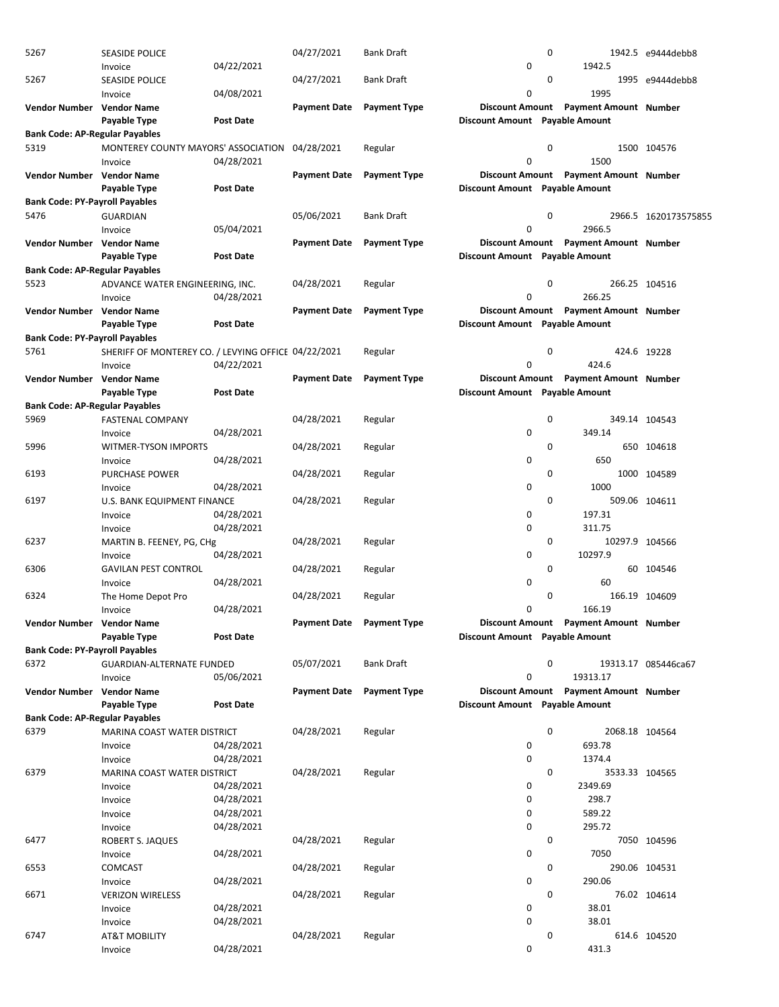| 5267                                  | <b>SEASIDE POLICE</b>                               |                  | 04/27/2021                | <b>Bank Draft</b>   |                                | 0 |                                       | 1942.5 e9444debb8    |
|---------------------------------------|-----------------------------------------------------|------------------|---------------------------|---------------------|--------------------------------|---|---------------------------------------|----------------------|
|                                       | Invoice                                             | 04/22/2021       |                           |                     | 0                              |   | 1942.5                                |                      |
| 5267                                  | <b>SEASIDE POLICE</b>                               |                  | 04/27/2021                | <b>Bank Draft</b>   |                                | 0 |                                       | 1995 e9444debb8      |
|                                       |                                                     | 04/08/2021       |                           |                     | 0                              |   | 1995                                  |                      |
|                                       | Invoice                                             |                  |                           |                     |                                |   |                                       |                      |
| Vendor Number Vendor Name             |                                                     |                  | <b>Payment Date</b>       | <b>Payment Type</b> | <b>Discount Amount</b>         |   | <b>Payment Amount Number</b>          |                      |
|                                       | Payable Type                                        | <b>Post Date</b> |                           |                     | Discount Amount Payable Amount |   |                                       |                      |
| <b>Bank Code: AP-Regular Payables</b> |                                                     |                  |                           |                     |                                |   |                                       |                      |
| 5319                                  | MONTEREY COUNTY MAYORS' ASSOCIATION                 |                  | 04/28/2021                | Regular             |                                | 0 |                                       | 1500 104576          |
|                                       | Invoice                                             | 04/28/2021       |                           |                     | 0                              |   | 1500                                  |                      |
| Vendor Number Vendor Name             |                                                     |                  | <b>Payment Date</b>       | <b>Payment Type</b> |                                |   | Discount Amount Payment Amount Number |                      |
|                                       | Payable Type                                        | Post Date        |                           |                     | Discount Amount Payable Amount |   |                                       |                      |
| <b>Bank Code: PY-Payroll Payables</b> |                                                     |                  |                           |                     |                                |   |                                       |                      |
| 5476                                  | <b>GUARDIAN</b>                                     |                  | 05/06/2021                | <b>Bank Draft</b>   |                                | 0 |                                       | 2966.5 1620173575855 |
|                                       | Invoice                                             | 05/04/2021       |                           |                     | 0                              |   | 2966.5                                |                      |
| Vendor Number Vendor Name             |                                                     |                  | <b>Payment Date</b>       | <b>Payment Type</b> | <b>Discount Amount</b>         |   | <b>Payment Amount Number</b>          |                      |
|                                       | Payable Type                                        | <b>Post Date</b> |                           |                     | Discount Amount Payable Amount |   |                                       |                      |
| <b>Bank Code: AP-Regular Payables</b> |                                                     |                  |                           |                     |                                |   |                                       |                      |
| 5523                                  | ADVANCE WATER ENGINEERING, INC.                     |                  | 04/28/2021                | Regular             |                                | 0 | 266.25 104516                         |                      |
|                                       | Invoice                                             | 04/28/2021       |                           |                     | 0                              |   | 266.25                                |                      |
|                                       |                                                     |                  |                           |                     |                                |   |                                       |                      |
| Vendor Number Vendor Name             |                                                     |                  | <b>Payment Date</b>       | <b>Payment Type</b> | <b>Discount Amount</b>         |   | <b>Payment Amount Number</b>          |                      |
|                                       | <b>Payable Type</b>                                 | <b>Post Date</b> |                           |                     | Discount Amount Payable Amount |   |                                       |                      |
| <b>Bank Code: PY-Payroll Payables</b> |                                                     |                  |                           |                     |                                |   |                                       |                      |
| 5761                                  | SHERIFF OF MONTEREY CO. / LEVYING OFFICE 04/22/2021 |                  |                           | Regular             |                                | 0 | 424.6 19228                           |                      |
|                                       | Invoice                                             | 04/22/2021       |                           |                     | 0                              |   | 424.6                                 |                      |
| Vendor Number Vendor Name             |                                                     |                  | <b>Payment Date</b>       | <b>Payment Type</b> |                                |   | Discount Amount Payment Amount Number |                      |
|                                       | Payable Type                                        | <b>Post Date</b> |                           |                     | Discount Amount Payable Amount |   |                                       |                      |
| <b>Bank Code: AP-Regular Payables</b> |                                                     |                  |                           |                     |                                |   |                                       |                      |
| 5969                                  | <b>FASTENAL COMPANY</b>                             |                  | 04/28/2021                | Regular             |                                | 0 | 349.14 104543                         |                      |
|                                       | Invoice                                             | 04/28/2021       |                           |                     | 0                              |   | 349.14                                |                      |
| 5996                                  | WITMER-TYSON IMPORTS                                |                  | 04/28/2021                | Regular             |                                | 0 |                                       | 650 104618           |
|                                       | Invoice                                             | 04/28/2021       |                           |                     | 0                              |   | 650                                   |                      |
| 6193                                  | <b>PURCHASE POWER</b>                               |                  | 04/28/2021                | Regular             |                                | 0 |                                       | 1000 104589          |
|                                       |                                                     | 04/28/2021       |                           |                     | 0                              |   | 1000                                  |                      |
|                                       | Invoice                                             |                  |                           |                     |                                |   |                                       |                      |
| 6197                                  | U.S. BANK EQUIPMENT FINANCE                         |                  | 04/28/2021                | Regular             |                                | 0 | 509.06 104611                         |                      |
|                                       | Invoice                                             | 04/28/2021       |                           |                     | 0                              |   | 197.31                                |                      |
|                                       | Invoice                                             | 04/28/2021       |                           |                     | 0                              |   | 311.75                                |                      |
| 6237                                  | MARTIN B. FEENEY, PG, CHg                           |                  | 04/28/2021                | Regular             |                                | 0 | 10297.9 104566                        |                      |
|                                       | Invoice                                             | 04/28/2021       |                           |                     | 0                              |   | 10297.9                               |                      |
| 6306                                  | <b>GAVILAN PEST CONTROL</b>                         |                  | 04/28/2021                | Regular             |                                | 0 |                                       | 60 104546            |
|                                       | Invoice                                             | 04/28/2021       |                           |                     | 0                              |   | 60                                    |                      |
| 6324                                  | The Home Depot Pro                                  |                  | 04/28/2021                | Regular             |                                | 0 | 166.19 104609                         |                      |
|                                       | Invoice                                             | 04/28/2021       |                           |                     | 0                              |   | 166.19                                |                      |
| Vendor Number Vendor Name             |                                                     |                  | Payment Date Payment Type |                     |                                |   | Discount Amount Payment Amount Number |                      |
|                                       | Payable Type                                        | <b>Post Date</b> |                           |                     | Discount Amount Payable Amount |   |                                       |                      |
| <b>Bank Code: PY-Payroll Payables</b> |                                                     |                  |                           |                     |                                |   |                                       |                      |
| 6372                                  | <b>GUARDIAN-ALTERNATE FUNDED</b>                    |                  | 05/07/2021                | <b>Bank Draft</b>   |                                | 0 |                                       | 19313.17 085446ca67  |
|                                       |                                                     | 05/06/2021       |                           |                     | 0                              |   | 19313.17                              |                      |
|                                       | Invoice                                             |                  |                           |                     |                                |   |                                       |                      |
| Vendor Number Vendor Name             |                                                     |                  | <b>Payment Date</b>       | <b>Payment Type</b> |                                |   | Discount Amount Payment Amount Number |                      |
|                                       | Payable Type                                        | <b>Post Date</b> |                           |                     | Discount Amount Payable Amount |   |                                       |                      |
| <b>Bank Code: AP-Regular Payables</b> |                                                     |                  |                           |                     |                                |   |                                       |                      |
| 6379                                  | MARINA COAST WATER DISTRICT                         |                  | 04/28/2021                | Regular             |                                | 0 | 2068.18 104564                        |                      |
|                                       | Invoice                                             | 04/28/2021       |                           |                     | 0                              |   | 693.78                                |                      |
|                                       | Invoice                                             | 04/28/2021       |                           |                     | 0                              |   | 1374.4                                |                      |
| 6379                                  | MARINA COAST WATER DISTRICT                         |                  | 04/28/2021                | Regular             |                                | 0 | 3533.33 104565                        |                      |
|                                       | Invoice                                             | 04/28/2021       |                           |                     | 0                              |   | 2349.69                               |                      |
|                                       | Invoice                                             | 04/28/2021       |                           |                     | 0                              |   | 298.7                                 |                      |
|                                       | Invoice                                             | 04/28/2021       |                           |                     | 0                              |   | 589.22                                |                      |
|                                       | Invoice                                             | 04/28/2021       |                           |                     | 0                              |   | 295.72                                |                      |
| 6477                                  | ROBERT S. JAQUES                                    |                  | 04/28/2021                | Regular             |                                | 0 |                                       | 7050 104596          |
|                                       | Invoice                                             | 04/28/2021       |                           |                     | 0                              |   | 7050                                  |                      |
|                                       |                                                     |                  |                           |                     |                                |   |                                       |                      |
| 6553                                  | <b>COMCAST</b>                                      |                  | 04/28/2021                | Regular             |                                | 0 | 290.06 104531                         |                      |
|                                       | Invoice                                             | 04/28/2021       |                           |                     | 0                              |   | 290.06                                |                      |
| 6671                                  | <b>VERIZON WIRELESS</b>                             |                  | 04/28/2021                | Regular             |                                | 0 |                                       | 76.02 104614         |
|                                       | Invoice                                             | 04/28/2021       |                           |                     | 0                              |   | 38.01                                 |                      |
|                                       | Invoice                                             | 04/28/2021       |                           |                     | 0                              |   | 38.01                                 |                      |
| 6747                                  | <b>AT&amp;T MOBILITY</b>                            |                  | 04/28/2021                | Regular             |                                | 0 |                                       | 614.6 104520         |
|                                       | Invoice                                             | 04/28/2021       |                           |                     | 0                              |   | 431.3                                 |                      |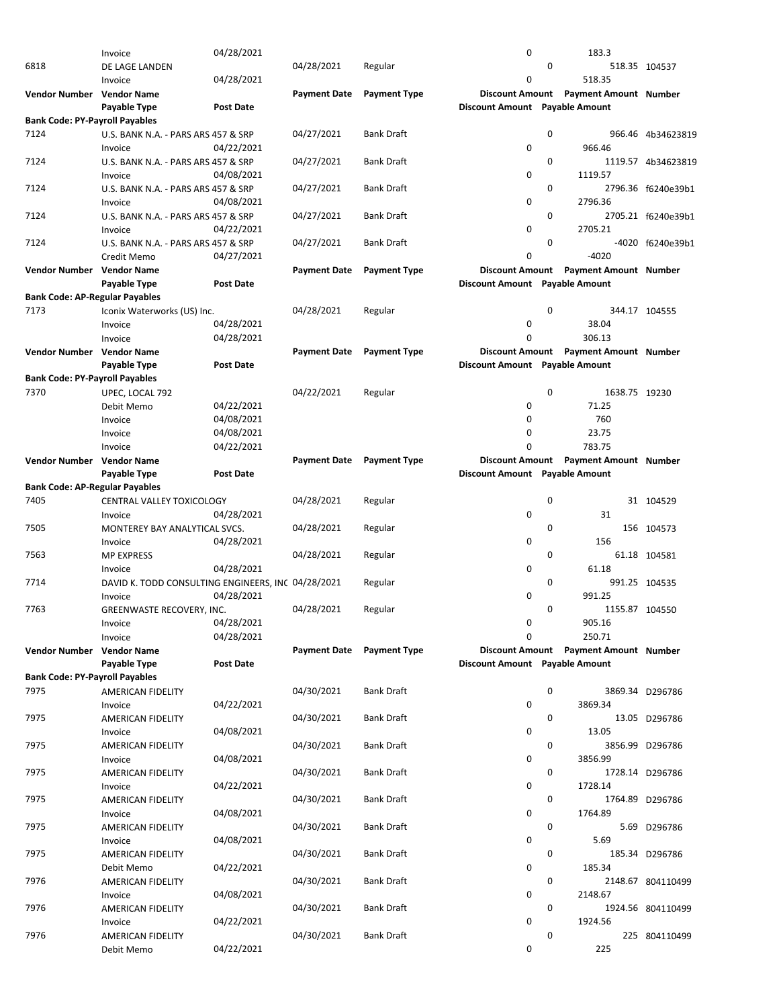|                                       | Invoice                                            | 04/28/2021       |                     |                           | 0                              |              | 183.3                                 |                    |
|---------------------------------------|----------------------------------------------------|------------------|---------------------|---------------------------|--------------------------------|--------------|---------------------------------------|--------------------|
| 6818                                  | DE LAGE LANDEN                                     |                  | 04/28/2021          | Regular                   |                                | $\mathbf{0}$ |                                       | 518.35 104537      |
|                                       |                                                    |                  |                     |                           | 0                              |              | 518.35                                |                    |
|                                       | Invoice                                            | 04/28/2021       |                     |                           |                                |              |                                       |                    |
| Vendor Number Vendor Name             |                                                    |                  | <b>Payment Date</b> | <b>Payment Type</b>       | <b>Discount Amount</b>         |              | <b>Payment Amount Number</b>          |                    |
|                                       | Payable Type                                       | <b>Post Date</b> |                     |                           | Discount Amount Payable Amount |              |                                       |                    |
| <b>Bank Code: PY-Payroll Payables</b> |                                                    |                  |                     |                           |                                |              |                                       |                    |
| 7124                                  | U.S. BANK N.A. - PARS ARS 457 & SRP                |                  | 04/27/2021          | <b>Bank Draft</b>         |                                | 0            |                                       | 966.46 4b34623819  |
|                                       |                                                    |                  |                     |                           | 0                              |              | 966.46                                |                    |
|                                       | Invoice                                            | 04/22/2021       |                     |                           |                                |              |                                       |                    |
| 7124                                  | U.S. BANK N.A. - PARS ARS 457 & SRP                |                  | 04/27/2021          | <b>Bank Draft</b>         |                                | 0            |                                       | 1119.57 4b34623819 |
|                                       | Invoice                                            | 04/08/2021       |                     |                           | 0                              |              | 1119.57                               |                    |
| 7124                                  | U.S. BANK N.A. - PARS ARS 457 & SRP                |                  | 04/27/2021          | <b>Bank Draft</b>         |                                | 0            |                                       | 2796.36 f6240e39b1 |
|                                       | Invoice                                            | 04/08/2021       |                     |                           | 0                              |              | 2796.36                               |                    |
|                                       |                                                    |                  |                     |                           |                                |              |                                       |                    |
| 7124                                  | U.S. BANK N.A. - PARS ARS 457 & SRP                |                  | 04/27/2021          | <b>Bank Draft</b>         |                                | 0            |                                       | 2705.21 f6240e39b1 |
|                                       | Invoice                                            | 04/22/2021       |                     |                           | 0                              |              | 2705.21                               |                    |
| 7124                                  | U.S. BANK N.A. - PARS ARS 457 & SRP                |                  | 04/27/2021          | <b>Bank Draft</b>         |                                | 0            |                                       | -4020 f6240e39b1   |
|                                       | Credit Memo                                        | 04/27/2021       |                     |                           | 0                              |              | $-4020$                               |                    |
| Vendor Number Vendor Name             |                                                    |                  | <b>Payment Date</b> | <b>Payment Type</b>       | <b>Discount Amount</b>         |              | <b>Payment Amount Number</b>          |                    |
|                                       |                                                    |                  |                     |                           |                                |              |                                       |                    |
|                                       | Payable Type                                       | <b>Post Date</b> |                     |                           | Discount Amount Payable Amount |              |                                       |                    |
| <b>Bank Code: AP-Regular Payables</b> |                                                    |                  |                     |                           |                                |              |                                       |                    |
| 7173                                  | Iconix Waterworks (US) Inc.                        |                  | 04/28/2021          | Regular                   |                                | 0            |                                       | 344.17 104555      |
|                                       | Invoice                                            | 04/28/2021       |                     |                           | 0                              |              | 38.04                                 |                    |
|                                       | Invoice                                            | 04/28/2021       |                     |                           | 0                              |              | 306.13                                |                    |
|                                       |                                                    |                  |                     |                           |                                |              |                                       |                    |
| Vendor Number Vendor Name             |                                                    |                  | <b>Payment Date</b> | <b>Payment Type</b>       | <b>Discount Amount</b>         |              | <b>Payment Amount Number</b>          |                    |
|                                       | Payable Type                                       | <b>Post Date</b> |                     |                           | Discount Amount Payable Amount |              |                                       |                    |
| <b>Bank Code: PY-Payroll Payables</b> |                                                    |                  |                     |                           |                                |              |                                       |                    |
| 7370                                  | UPEC, LOCAL 792                                    |                  | 04/22/2021          | Regular                   |                                | 0            | 1638.75 19230                         |                    |
|                                       | Debit Memo                                         | 04/22/2021       |                     |                           | 0                              |              | 71.25                                 |                    |
|                                       |                                                    |                  |                     |                           |                                |              |                                       |                    |
|                                       | Invoice                                            | 04/08/2021       |                     |                           | 0                              |              | 760                                   |                    |
|                                       | Invoice                                            | 04/08/2021       |                     |                           | 0                              |              | 23.75                                 |                    |
|                                       | Invoice                                            | 04/22/2021       |                     |                           | 0                              |              | 783.75                                |                    |
| Vendor Number Vendor Name             |                                                    |                  |                     | Payment Date Payment Type |                                |              | Discount Amount Payment Amount Number |                    |
|                                       |                                                    | Post Date        |                     |                           |                                |              |                                       |                    |
|                                       | Payable Type                                       |                  |                     |                           | Discount Amount Payable Amount |              |                                       |                    |
| <b>Bank Code: AP-Regular Payables</b> |                                                    |                  |                     |                           |                                |              |                                       |                    |
| 7405                                  | CENTRAL VALLEY TOXICOLOGY                          |                  | 04/28/2021          | Regular                   |                                | 0            |                                       | 31 104529          |
|                                       | Invoice                                            | 04/28/2021       |                     |                           | 0                              |              | 31                                    |                    |
| 7505                                  | MONTEREY BAY ANALYTICAL SVCS.                      |                  | 04/28/2021          | Regular                   |                                | 0            |                                       | 156 104573         |
|                                       |                                                    |                  |                     |                           |                                |              |                                       |                    |
|                                       | Invoice                                            | 04/28/2021       |                     |                           | 0                              |              | 156                                   |                    |
| 7563                                  | <b>MP EXPRESS</b>                                  |                  | 04/28/2021          | Regular                   |                                | 0            |                                       | 61.18 104581       |
|                                       | Invoice                                            | 04/28/2021       |                     |                           | 0                              |              | 61.18                                 |                    |
| 7714                                  | DAVID K. TODD CONSULTING ENGINEERS, INC 04/28/2021 |                  |                     | Regular                   |                                | 0            |                                       | 991.25 104535      |
|                                       | Invoice                                            | 04/28/2021       |                     |                           | 0                              |              | 991.25                                |                    |
|                                       |                                                    |                  |                     |                           |                                |              |                                       |                    |
| 7763                                  | GREENWASTE RECOVERY, INC.                          |                  | 04/28/2021          | Regular                   |                                | 0            | 1155.87 104550                        |                    |
|                                       | Invoice                                            | 04/28/2021       |                     |                           | 0                              |              | 905.16                                |                    |
|                                       | Invoice                                            | 04/28/2021       |                     |                           | $\mathbf 0$                    |              | 250.71                                |                    |
| Vendor Number Vendor Name             |                                                    |                  |                     | Payment Date Payment Type |                                |              | Discount Amount Payment Amount Number |                    |
|                                       | Payable Type                                       | Post Date        |                     |                           | Discount Amount Payable Amount |              |                                       |                    |
|                                       |                                                    |                  |                     |                           |                                |              |                                       |                    |
| <b>Bank Code: PY-Payroll Payables</b> |                                                    |                  |                     |                           |                                |              |                                       |                    |
| 7975                                  | <b>AMERICAN FIDELITY</b>                           |                  | 04/30/2021          | <b>Bank Draft</b>         |                                | 0            |                                       | 3869.34 D296786    |
|                                       | Invoice                                            | 04/22/2021       |                     |                           | 0                              |              | 3869.34                               |                    |
| 7975                                  | AMERICAN FIDELITY                                  |                  | 04/30/2021          | <b>Bank Draft</b>         |                                | 0            |                                       | 13.05 D296786      |
|                                       |                                                    | 04/08/2021       |                     |                           | 0                              |              | 13.05                                 |                    |
|                                       | Invoice                                            |                  |                     |                           |                                |              |                                       |                    |
| 7975                                  | AMERICAN FIDELITY                                  |                  | 04/30/2021          | <b>Bank Draft</b>         |                                | 0            |                                       | 3856.99 D296786    |
|                                       | Invoice                                            | 04/08/2021       |                     |                           | 0                              |              | 3856.99                               |                    |
| 7975                                  | AMERICAN FIDELITY                                  |                  | 04/30/2021          | <b>Bank Draft</b>         |                                | 0            |                                       | 1728.14 D296786    |
|                                       | Invoice                                            | 04/22/2021       |                     |                           | 0                              |              | 1728.14                               |                    |
| 7975                                  | AMERICAN FIDELITY                                  |                  | 04/30/2021          | <b>Bank Draft</b>         |                                | 0            |                                       | 1764.89 D296786    |
|                                       |                                                    |                  |                     |                           |                                |              |                                       |                    |
|                                       | Invoice                                            | 04/08/2021       |                     |                           | 0                              |              | 1764.89                               |                    |
| 7975                                  | AMERICAN FIDELITY                                  |                  | 04/30/2021          | <b>Bank Draft</b>         |                                | 0            |                                       | 5.69 D296786       |
|                                       | Invoice                                            | 04/08/2021       |                     |                           | 0                              |              | 5.69                                  |                    |
| 7975                                  | AMERICAN FIDELITY                                  |                  | 04/30/2021          | <b>Bank Draft</b>         |                                | 0            |                                       | 185.34 D296786     |
|                                       |                                                    | 04/22/2021       |                     |                           | 0                              |              | 185.34                                |                    |
|                                       | Debit Memo                                         |                  |                     |                           |                                |              |                                       |                    |
| 7976                                  | AMERICAN FIDELITY                                  |                  | 04/30/2021          | <b>Bank Draft</b>         |                                | 0            |                                       | 2148.67 804110499  |
|                                       | Invoice                                            | 04/08/2021       |                     |                           | 0                              |              | 2148.67                               |                    |
| 7976                                  | AMERICAN FIDELITY                                  |                  | 04/30/2021          | <b>Bank Draft</b>         |                                | 0            |                                       | 1924.56 804110499  |
|                                       | Invoice                                            | 04/22/2021       |                     |                           | 0                              |              | 1924.56                               |                    |
|                                       |                                                    |                  |                     |                           |                                |              |                                       |                    |
| 7976                                  | AMERICAN FIDELITY                                  |                  | 04/30/2021          | <b>Bank Draft</b>         |                                | 0            |                                       | 225 804110499      |
|                                       | Debit Memo                                         | 04/22/2021       |                     |                           | 0                              |              | 225                                   |                    |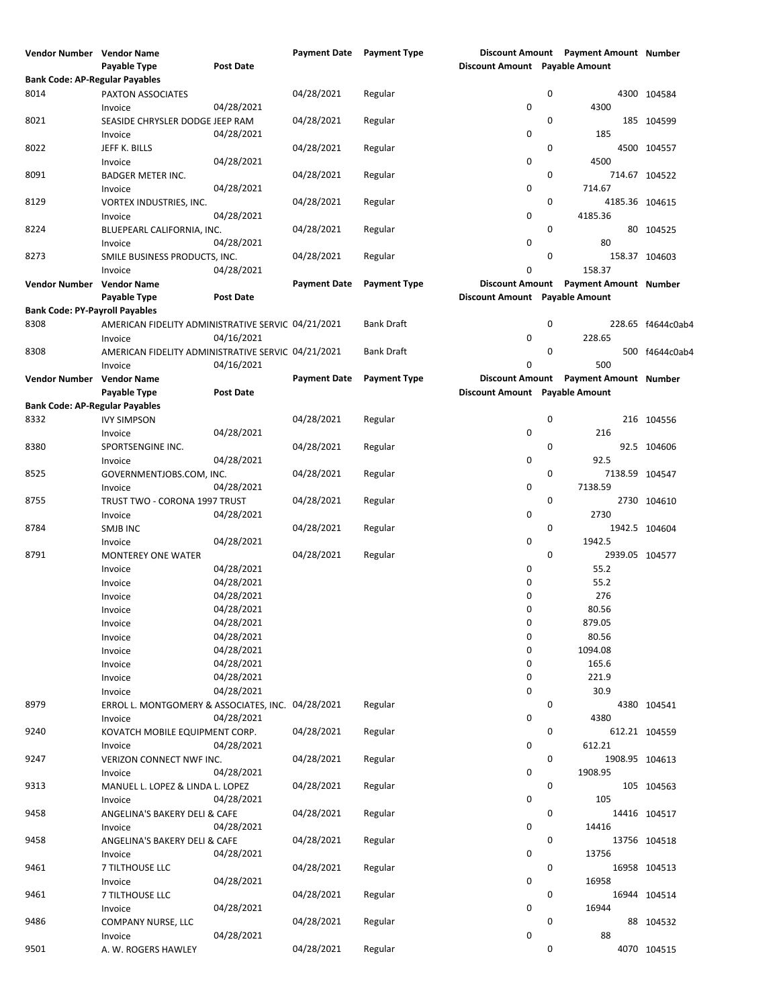| Vendor Number Vendor Name             |                                                    |                  | Payment Date Payment Type |                     |                                | Discount Amount Payment Amount Number |                   |
|---------------------------------------|----------------------------------------------------|------------------|---------------------------|---------------------|--------------------------------|---------------------------------------|-------------------|
|                                       | Payable Type                                       | <b>Post Date</b> |                           |                     | Discount Amount Payable Amount |                                       |                   |
| <b>Bank Code: AP-Regular Payables</b> |                                                    |                  |                           |                     |                                |                                       |                   |
| 8014                                  | PAXTON ASSOCIATES                                  |                  | 04/28/2021                | Regular             | 0                              |                                       | 4300 104584       |
|                                       | Invoice                                            | 04/28/2021       |                           |                     | $\mathbf 0$                    | 4300                                  |                   |
|                                       |                                                    |                  | 04/28/2021                |                     |                                |                                       |                   |
| 8021                                  | SEASIDE CHRYSLER DODGE JEEP RAM                    |                  |                           | Regular             | 0                              |                                       | 185 104599        |
|                                       | Invoice                                            | 04/28/2021       |                           |                     | 0                              | 185                                   |                   |
| 8022                                  | JEFF K. BILLS                                      |                  | 04/28/2021                | Regular             | $\mathbf 0$                    |                                       | 4500 104557       |
|                                       | Invoice                                            | 04/28/2021       |                           |                     | 0                              | 4500                                  |                   |
| 8091                                  | <b>BADGER METER INC.</b>                           |                  | 04/28/2021                | Regular             | 0                              |                                       | 714.67 104522     |
|                                       | Invoice                                            | 04/28/2021       |                           |                     | $\mathbf 0$                    | 714.67                                |                   |
| 8129                                  | <b>VORTEX INDUSTRIES, INC.</b>                     |                  | 04/28/2021                | Regular             | 0                              | 4185.36 104615                        |                   |
|                                       | Invoice                                            | 04/28/2021       |                           |                     | 0                              | 4185.36                               |                   |
| 8224                                  | BLUEPEARL CALIFORNIA, INC.                         |                  | 04/28/2021                | Regular             | 0                              |                                       | 80 104525         |
|                                       | Invoice                                            | 04/28/2021       |                           |                     | 0                              | 80                                    |                   |
| 8273                                  | SMILE BUSINESS PRODUCTS, INC.                      |                  | 04/28/2021                | Regular             | $\mathbf 0$                    |                                       | 158.37 104603     |
|                                       |                                                    |                  |                           |                     | 0                              | 158.37                                |                   |
|                                       | Invoice                                            | 04/28/2021       |                           |                     |                                |                                       |                   |
| Vendor Number Vendor Name             |                                                    |                  | <b>Payment Date</b>       | <b>Payment Type</b> | <b>Discount Amount</b>         | <b>Payment Amount Number</b>          |                   |
|                                       | Payable Type                                       | Post Date        |                           |                     | Discount Amount Payable Amount |                                       |                   |
| <b>Bank Code: PY-Payroll Payables</b> |                                                    |                  |                           |                     |                                |                                       |                   |
| 8308                                  | AMERICAN FIDELITY ADMINISTRATIVE SERVIC 04/21/2021 |                  |                           | <b>Bank Draft</b>   | 0                              |                                       | 228.65 f4644c0ab4 |
|                                       | Invoice                                            | 04/16/2021       |                           |                     | 0                              | 228.65                                |                   |
| 8308                                  | AMERICAN FIDELITY ADMINISTRATIVE SERVIC 04/21/2021 |                  |                           | <b>Bank Draft</b>   | 0                              |                                       | 500 f4644c0ab4    |
|                                       | Invoice                                            | 04/16/2021       |                           |                     | $\mathbf 0$                    | 500                                   |                   |
| Vendor Number Vendor Name             |                                                    |                  | <b>Payment Date</b>       | <b>Payment Type</b> | <b>Discount Amount</b>         | <b>Payment Amount Number</b>          |                   |
|                                       |                                                    |                  |                           |                     |                                |                                       |                   |
|                                       | Payable Type                                       | Post Date        |                           |                     | Discount Amount Payable Amount |                                       |                   |
| <b>Bank Code: AP-Regular Payables</b> |                                                    |                  |                           |                     |                                |                                       |                   |
| 8332                                  | <b>IVY SIMPSON</b>                                 |                  | 04/28/2021                | Regular             | 0                              |                                       | 216 104556        |
|                                       | Invoice                                            | 04/28/2021       |                           |                     | 0                              | 216                                   |                   |
| 8380                                  | SPORTSENGINE INC.                                  |                  | 04/28/2021                | Regular             | 0                              |                                       | 92.5 104606       |
|                                       | Invoice                                            | 04/28/2021       |                           |                     | 0                              | 92.5                                  |                   |
| 8525                                  | GOVERNMENTJOBS.COM, INC.                           |                  | 04/28/2021                | Regular             | 0                              | 7138.59 104547                        |                   |
|                                       | Invoice                                            | 04/28/2021       |                           |                     | 0                              | 7138.59                               |                   |
| 8755                                  |                                                    |                  | 04/28/2021                |                     | 0                              |                                       |                   |
|                                       | TRUST TWO - CORONA 1997 TRUST                      |                  |                           | Regular             |                                |                                       | 2730 104610       |
|                                       | Invoice                                            | 04/28/2021       |                           |                     | $\pmb{0}$                      | 2730                                  |                   |
| 8784                                  | SMJB INC                                           |                  | 04/28/2021                | Regular             | 0                              |                                       | 1942.5 104604     |
|                                       | Invoice                                            | 04/28/2021       |                           |                     | 0                              | 1942.5                                |                   |
| 8791                                  | <b>MONTEREY ONE WATER</b>                          |                  | 04/28/2021                | Regular             | 0                              | 2939.05 104577                        |                   |
|                                       | Invoice                                            | 04/28/2021       |                           |                     | 0                              | 55.2                                  |                   |
|                                       | Invoice                                            | 04/28/2021       |                           |                     | 0                              | 55.2                                  |                   |
|                                       | Invoice                                            | 04/28/2021       |                           |                     | 0                              | 276                                   |                   |
|                                       | Invoice                                            | 04/28/2021       |                           |                     | $\mathbf 0$                    | 80.56                                 |                   |
|                                       |                                                    |                  |                           |                     |                                |                                       |                   |
|                                       | Invoice                                            | 04/28/2021       |                           |                     | 0                              | 879.05                                |                   |
|                                       | Invoice                                            | 04/28/2021       |                           |                     | 0                              | 80.56                                 |                   |
|                                       | Invoice                                            | 04/28/2021       |                           |                     | 0                              | 1094.08                               |                   |
|                                       | Invoice                                            | 04/28/2021       |                           |                     | 0                              | 165.6                                 |                   |
|                                       | Invoice                                            | 04/28/2021       |                           |                     | 0                              | 221.9                                 |                   |
|                                       | Invoice                                            | 04/28/2021       |                           |                     | $\pmb{0}$                      | 30.9                                  |                   |
| 8979                                  | ERROL L. MONTGOMERY & ASSOCIATES, INC. 04/28/2021  |                  |                           | Regular             | 0                              |                                       | 4380 104541       |
|                                       | Invoice                                            | 04/28/2021       |                           |                     | 0                              | 4380                                  |                   |
| 9240                                  | KOVATCH MOBILE EQUIPMENT CORP.                     |                  | 04/28/2021                | Regular             | 0                              |                                       | 612.21 104559     |
|                                       | Invoice                                            | 04/28/2021       |                           |                     | $\pmb{0}$                      | 612.21                                |                   |
|                                       |                                                    |                  |                           |                     |                                |                                       |                   |
| 9247                                  | VERIZON CONNECT NWF INC.                           |                  | 04/28/2021                | Regular             | 0                              | 1908.95 104613                        |                   |
|                                       | Invoice                                            | 04/28/2021       |                           |                     | 0                              | 1908.95                               |                   |
| 9313                                  | MANUEL L. LOPEZ & LINDA L. LOPEZ                   |                  | 04/28/2021                | Regular             | 0                              |                                       | 105 104563        |
|                                       | Invoice                                            | 04/28/2021       |                           |                     | 0                              | 105                                   |                   |
| 9458                                  | ANGELINA'S BAKERY DELI & CAFE                      |                  | 04/28/2021                | Regular             | 0                              |                                       | 14416 104517      |
|                                       | Invoice                                            | 04/28/2021       |                           |                     | 0                              | 14416                                 |                   |
| 9458                                  | ANGELINA'S BAKERY DELI & CAFE                      |                  | 04/28/2021                | Regular             | 0                              |                                       | 13756 104518      |
|                                       | Invoice                                            | 04/28/2021       |                           |                     | $\pmb{0}$                      | 13756                                 |                   |
| 9461                                  | 7 TILTHOUSE LLC                                    |                  | 04/28/2021                | Regular             | 0                              |                                       | 16958 104513      |
|                                       |                                                    |                  |                           |                     |                                |                                       |                   |
|                                       | Invoice                                            | 04/28/2021       |                           |                     | 0                              | 16958                                 |                   |
| 9461                                  | 7 TILTHOUSE LLC                                    |                  | 04/28/2021                | Regular             | 0                              |                                       | 16944 104514      |
|                                       | Invoice                                            | 04/28/2021       |                           |                     | 0                              | 16944                                 |                   |
| 9486                                  | COMPANY NURSE, LLC                                 |                  | 04/28/2021                | Regular             | 0                              |                                       | 88 104532         |
|                                       | Invoice                                            | 04/28/2021       |                           |                     | $\pmb{0}$                      | 88                                    |                   |
| 9501                                  | A. W. ROGERS HAWLEY                                |                  | 04/28/2021                | Regular             | 0                              |                                       | 4070 104515       |